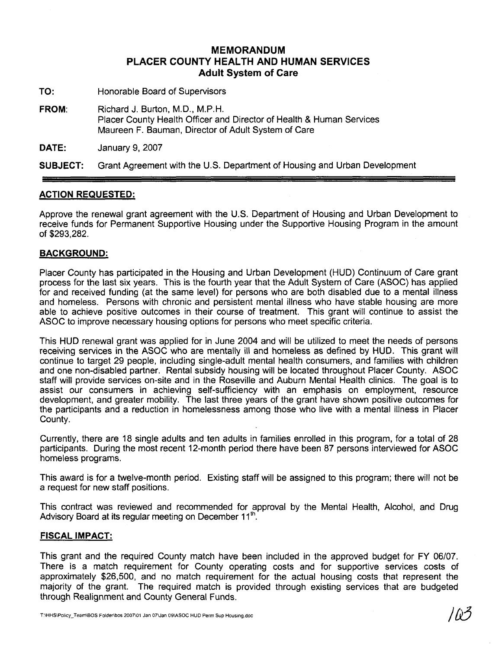### **MEMORANDUM PLACER COUNTY HEALTH AND HUMAN SERVICES Adult System of Care**

- **TO:** Honorable Board of Supervisors
- **FROM:** Richard J. Burton, M.D., M.P.H. Placer County Health Officer and Director of Health & Human Services Maureen F. Bauman, Director of Adult System of Care

**DATE: January 9, 2007** 

**SUBJECT:** Grant Agreement with the U.S. Department of Housing and Urban Development

#### **ACTION REQUESTED:**

Approve the renewal grant agreement with the U.S. Department of Housing and Urban Development to receive funds for Permanent Supportive Housing under the Supportive Housing Program in the amount of \$293,282.

#### **BACKGROUND:**

Placer County has participated in the Housing and Urban Development (HUD) Continuum of Care grant process for the last six years. This is the fourth year that the Adult System of Care (ASOC) has applied for and received funding (at the same level) for persons who are both disabled due to a mental illness and homeless. Persons with chronic and persistent mental illness who have stable housing are more able to achieve positive outcomes in their course of treatment. This grant will continue to assist the ASOC to improve necessary housing options for persons who meet specific criteria.

This HUD renewal grant was applied for in June 2004 and will be utilized to meet the needs of persons receiving services in the ASOC who are mentally ill and homeless as defined by HUD. This grant will continue to target 29 people, including single-adult mental health consumers, and families with children and one non-disabled partner. Rental subsidy housing will be located throughout Placer County. ASOC staff will provide services on-site and in the Roseville and Auburn Mental Health clinics. The goal is to assist our consumers in achieving self-sufficiency with an emphasis on employment, resource development, and greater mobility. The last three years of the grant have shown positive outcomes for the participants and a reduction in homelessness among those who live with a mental illness in Placer County.

Currently, there are 18 single adults and ten adults in families enrolled in this program, for a total of 28 participants. During the most recent 12-month period there have been 87 persons interviewed for ASOC homeless programs.

This award is for a twelve-month period. Existing staff will be assigned to this program; there will not be a request for new staff positions.

This contract was reviewed and recommended for approval by the Mental Health, Alcohol, and Drug<br>Advisory Board at its regular meeting on December 11<sup>th</sup>.

#### **FISCAL IMPACT:**

This grant and the required County match have been included in the approved budget for FY 06/07. There is a match requirement for County operating costs and for supportive services costs of approximately \$26,500, and no match requirement for the actual housing costs that represent the majority of the grant. The required match is provided through existing services that are budgeted through Realignment and County General Funds.